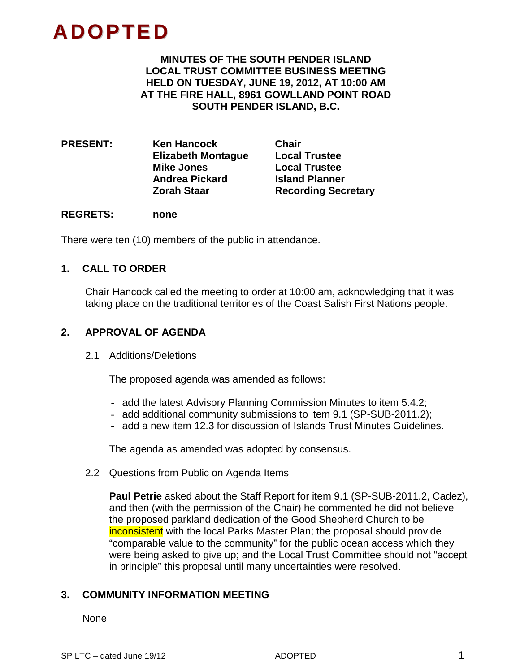# **ADOPTED**

**MINUTES OF THE SOUTH PENDER ISLAND LOCAL TRUST COMMITTEE BUSINESS MEETING HELD ON TUESDAY, JUNE 19, 2012, AT 10:00 AM AT THE FIRE HALL, 8961 GOWLLAND POINT ROAD SOUTH PENDER ISLAND, B.C.**

**PRESENT: Ken Hancock Chair Elizabeth Montague Mike Jones Local Trustee Andrea Pickard Island Planner**

**Recording Secretary** 

# **REGRETS: none**

There were ten (10) members of the public in attendance.

# **1. CALL TO ORDER**

Chair Hancock called the meeting to order at 10:00 am, acknowledging that it was taking place on the traditional territories of the Coast Salish First Nations people.

# **2. APPROVAL OF AGENDA**

2.1 Additions/Deletions

The proposed agenda was amended as follows:

- add the latest Advisory Planning Commission Minutes to item 5.4.2;
- add additional community submissions to item 9.1 (SP-SUB-2011.2);
- add a new item 12.3 for discussion of Islands Trust Minutes Guidelines.

The agenda as amended was adopted by consensus.

2.2 Questions from Public on Agenda Items

**Paul Petrie** asked about the Staff Report for item 9.1 (SP-SUB-2011.2, Cadez), and then (with the permission of the Chair) he commented he did not believe the proposed parkland dedication of the Good Shepherd Church to be inconsistent with the local Parks Master Plan; the proposal should provide "comparable value to the community" for the public ocean access which they were being asked to give up; and the Local Trust Committee should not "accept in principle" this proposal until many uncertainties were resolved.

# **3. COMMUNITY INFORMATION MEETING**

None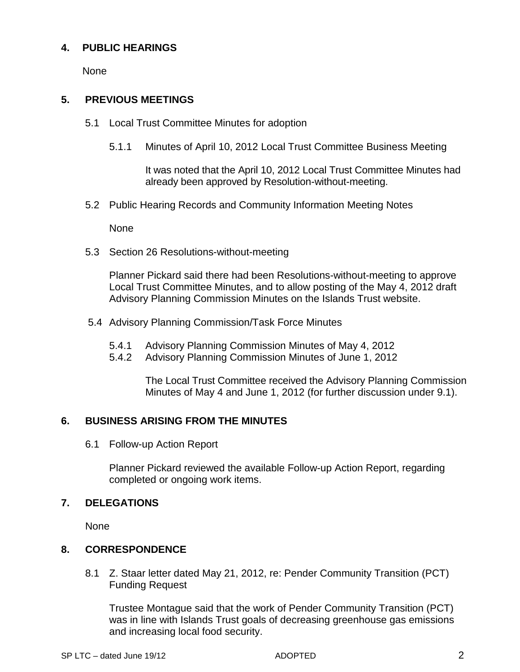# **4. PUBLIC HEARINGS**

None

# **5. PREVIOUS MEETINGS**

- 5.1 Local Trust Committee Minutes for adoption
	- 5.1.1 Minutes of April 10, 2012 Local Trust Committee Business Meeting

It was noted that the April 10, 2012 Local Trust Committee Minutes had already been approved by Resolution-without-meeting.

5.2 Public Hearing Records and Community Information Meeting Notes

None

5.3 Section 26 Resolutions-without-meeting

Planner Pickard said there had been Resolutions-without-meeting to approve Local Trust Committee Minutes, and to allow posting of the May 4, 2012 draft Advisory Planning Commission Minutes on the Islands Trust website.

- 5.4 Advisory Planning Commission/Task Force Minutes
	- 5.4.1 Advisory Planning Commission Minutes of May 4, 2012
	- 5.4.2 Advisory Planning Commission Minutes of June 1, 2012

The Local Trust Committee received the Advisory Planning Commission Minutes of May 4 and June 1, 2012 (for further discussion under 9.1).

# **6. BUSINESS ARISING FROM THE MINUTES**

6.1 Follow-up Action Report

Planner Pickard reviewed the available Follow-up Action Report, regarding completed or ongoing work items.

# **7. DELEGATIONS**

None

# **8. CORRESPONDENCE**

8.1 Z. Staar letter dated May 21, 2012, re: Pender Community Transition (PCT) Funding Request

Trustee Montague said that the work of Pender Community Transition (PCT) was in line with Islands Trust goals of decreasing greenhouse gas emissions and increasing local food security.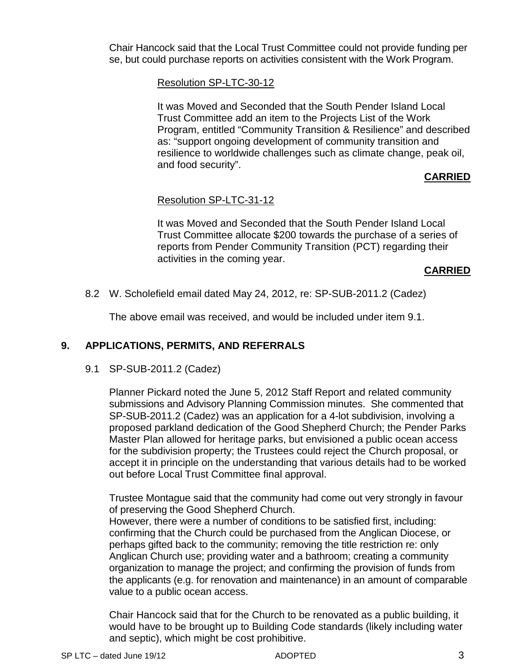Chair Hancock said that the Local Trust Committee could not provide funding per se, but could purchase reports on activities consistent with the Work Program.

Resolution SP-LTC-30-12

It was Moved and Seconded that the South Pender Island Local Trust Committee add an item to the Projects List of the Work Program, entitled "Community Transition & Resilience" and described as: "support ongoing development of community transition and resilience to worldwide challenges such as climate change, peak oil, and food security".

# **CARRIED**

# Resolution SP-LTC-31-12

It was Moved and Seconded that the South Pender Island Local Trust Committee allocate \$200 towards the purchase of a series of reports from Pender Community Transition (PCT) regarding their activities in the coming year.

# **CARRIED**

# 8.2 W. Scholefield email dated May 24, 2012, re: SP-SUB-2011.2 (Cadez)

The above email was received, and would be included under item 9.1.

# **9. APPLICATIONS, PERMITS, AND REFERRALS**

# 9.1 SP-SUB-2011.2 (Cadez)

Planner Pickard noted the June 5, 2012 Staff Report and related community submissions and Advisory Planning Commission minutes. She commented that SP-SUB-2011.2 (Cadez) was an application for a 4-lot subdivision, involving a proposed parkland dedication of the Good Shepherd Church; the Pender Parks Master Plan allowed for heritage parks, but envisioned a public ocean access for the subdivision property; the Trustees could reject the Church proposal, or accept it in principle on the understanding that various details had to be worked out before Local Trust Committee final approval.

Trustee Montague said that the community had come out very strongly in favour of preserving the Good Shepherd Church.

However, there were a number of conditions to be satisfied first, including: confirming that the Church could be purchased from the Anglican Diocese, or perhaps gifted back to the community; removing the title restriction re: only Anglican Church use; providing water and a bathroom; creating a community organization to manage the project; and confirming the provision of funds from the applicants (e.g. for renovation and maintenance) in an amount of comparable value to a public ocean access.

Chair Hancock said that for the Church to be renovated as a public building, it would have to be brought up to Building Code standards (likely including water and septic), which might be cost prohibitive.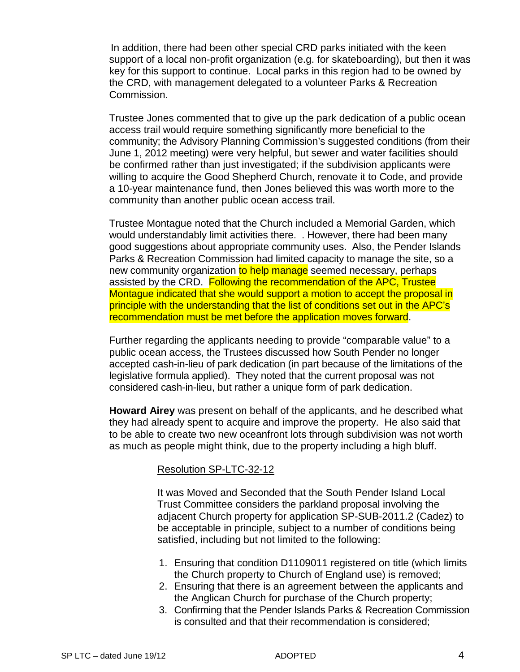In addition, there had been other special CRD parks initiated with the keen support of a local non-profit organization (e.g. for skateboarding), but then it was key for this support to continue. Local parks in this region had to be owned by the CRD, with management delegated to a volunteer Parks & Recreation Commission.

Trustee Jones commented that to give up the park dedication of a public ocean access trail would require something significantly more beneficial to the community; the Advisory Planning Commission's suggested conditions (from their June 1, 2012 meeting) were very helpful, but sewer and water facilities should be confirmed rather than just investigated; if the subdivision applicants were willing to acquire the Good Shepherd Church, renovate it to Code, and provide a 10-year maintenance fund, then Jones believed this was worth more to the community than another public ocean access trail.

Trustee Montague noted that the Church included a Memorial Garden, which would understandably limit activities there. . However, there had been many good suggestions about appropriate community uses. Also, the Pender Islands Parks & Recreation Commission had limited capacity to manage the site, so a new community organization to help manage seemed necessary, perhaps assisted by the CRD. Following the recommendation of the APC, Trustee Montague indicated that she would support a motion to accept the proposal in principle with the understanding that the list of conditions set out in the APC's recommendation must be met before the application moves forward.

Further regarding the applicants needing to provide "comparable value" to a public ocean access, the Trustees discussed how South Pender no longer accepted cash-in-lieu of park dedication (in part because of the limitations of the legislative formula applied). They noted that the current proposal was not considered cash-in-lieu, but rather a unique form of park dedication.

**Howard Airey** was present on behalf of the applicants, and he described what they had already spent to acquire and improve the property. He also said that to be able to create two new oceanfront lots through subdivision was not worth as much as people might think, due to the property including a high bluff.

#### Resolution SP-LTC-32-12

It was Moved and Seconded that the South Pender Island Local Trust Committee considers the parkland proposal involving the adjacent Church property for application SP-SUB-2011.2 (Cadez) to be acceptable in principle, subject to a number of conditions being satisfied, including but not limited to the following:

- 1. Ensuring that condition D1109011 registered on title (which limits the Church property to Church of England use) is removed;
- 2. Ensuring that there is an agreement between the applicants and the Anglican Church for purchase of the Church property;
- 3. Confirming that the Pender Islands Parks & Recreation Commission is consulted and that their recommendation is considered;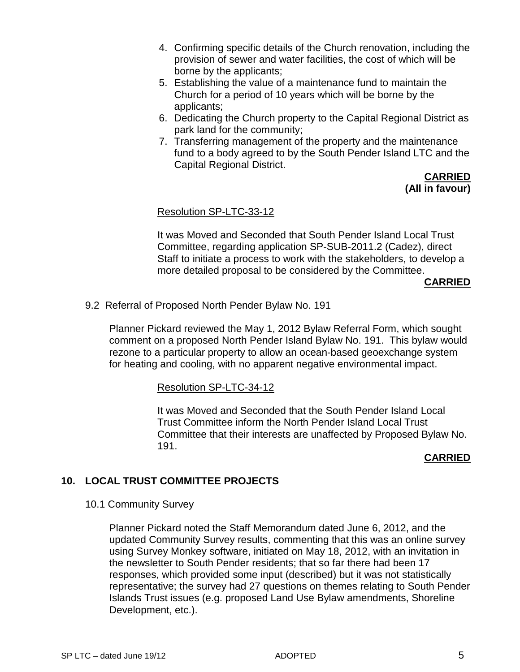- 4. Confirming specific details of the Church renovation, including the provision of sewer and water facilities, the cost of which will be borne by the applicants;
- 5. Establishing the value of a maintenance fund to maintain the Church for a period of 10 years which will be borne by the applicants;
- 6. Dedicating the Church property to the Capital Regional District as park land for the community;
- 7. Transferring management of the property and the maintenance fund to a body agreed to by the South Pender Island LTC and the Capital Regional District.

**CARRIED (All in favour)**

# Resolution SP-LTC-33-12

It was Moved and Seconded that South Pender Island Local Trust Committee, regarding application SP-SUB-2011.2 (Cadez), direct Staff to initiate a process to work with the stakeholders, to develop a more detailed proposal to be considered by the Committee.

# **CARRIED**

9.2 Referral of Proposed North Pender Bylaw No. 191

Planner Pickard reviewed the May 1, 2012 Bylaw Referral Form, which sought comment on a proposed North Pender Island Bylaw No. 191. This bylaw would rezone to a particular property to allow an ocean-based geoexchange system for heating and cooling, with no apparent negative environmental impact.

Resolution SP-LTC-34-12

It was Moved and Seconded that the South Pender Island Local Trust Committee inform the North Pender Island Local Trust Committee that their interests are unaffected by Proposed Bylaw No. 191.

# **CARRIED**

# **10. LOCAL TRUST COMMITTEE PROJECTS**

10.1 Community Survey

Planner Pickard noted the Staff Memorandum dated June 6, 2012, and the updated Community Survey results, commenting that this was an online survey using Survey Monkey software, initiated on May 18, 2012, with an invitation in the newsletter to South Pender residents; that so far there had been 17 responses, which provided some input (described) but it was not statistically representative; the survey had 27 questions on themes relating to South Pender Islands Trust issues (e.g. proposed Land Use Bylaw amendments, Shoreline Development, etc.).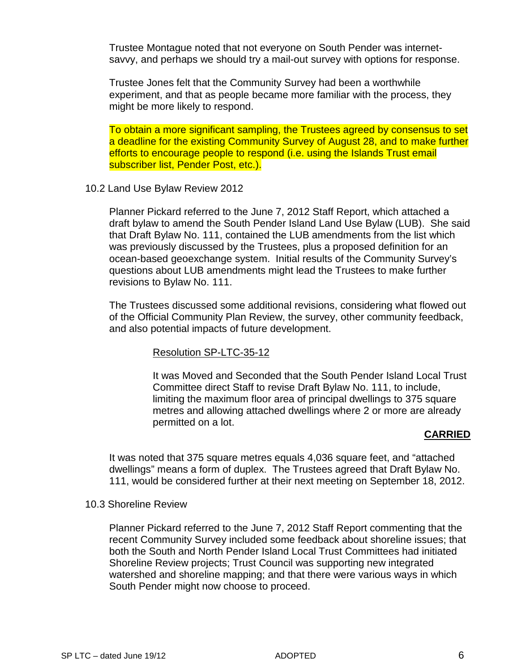Trustee Montague noted that not everyone on South Pender was internetsavvy, and perhaps we should try a mail-out survey with options for response.

Trustee Jones felt that the Community Survey had been a worthwhile experiment, and that as people became more familiar with the process, they might be more likely to respond.

To obtain a more significant sampling, the Trustees agreed by consensus to set a deadline for the existing Community Survey of August 28, and to make further efforts to encourage people to respond (i.e. using the Islands Trust email subscriber list, Pender Post, etc.).

10.2 Land Use Bylaw Review 2012

Planner Pickard referred to the June 7, 2012 Staff Report, which attached a draft bylaw to amend the South Pender Island Land Use Bylaw (LUB). She said that Draft Bylaw No. 111, contained the LUB amendments from the list which was previously discussed by the Trustees, plus a proposed definition for an ocean-based geoexchange system. Initial results of the Community Survey's questions about LUB amendments might lead the Trustees to make further revisions to Bylaw No. 111.

The Trustees discussed some additional revisions, considering what flowed out of the Official Community Plan Review, the survey, other community feedback, and also potential impacts of future development.

#### Resolution SP-LTC-35-12

It was Moved and Seconded that the South Pender Island Local Trust Committee direct Staff to revise Draft Bylaw No. 111, to include, limiting the maximum floor area of principal dwellings to 375 square metres and allowing attached dwellings where 2 or more are already permitted on a lot.

# **CARRIED**

It was noted that 375 square metres equals 4,036 square feet, and "attached dwellings" means a form of duplex. The Trustees agreed that Draft Bylaw No. 111, would be considered further at their next meeting on September 18, 2012.

#### 10.3 Shoreline Review

Planner Pickard referred to the June 7, 2012 Staff Report commenting that the recent Community Survey included some feedback about shoreline issues; that both the South and North Pender Island Local Trust Committees had initiated Shoreline Review projects; Trust Council was supporting new integrated watershed and shoreline mapping; and that there were various ways in which South Pender might now choose to proceed.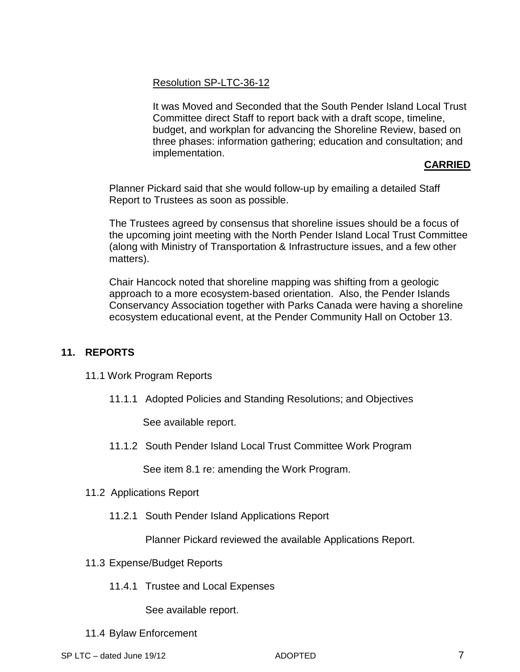Resolution SP-LTC-36-12

It was Moved and Seconded that the South Pender Island Local Trust Committee direct Staff to report back with a draft scope, timeline, budget, and workplan for advancing the Shoreline Review, based on three phases: information gathering; education and consultation; and implementation.

# **CARRIED**

Planner Pickard said that she would follow-up by emailing a detailed Staff Report to Trustees as soon as possible.

The Trustees agreed by consensus that shoreline issues should be a focus of the upcoming joint meeting with the North Pender Island Local Trust Committee (along with Ministry of Transportation & Infrastructure issues, and a few other matters).

Chair Hancock noted that shoreline mapping was shifting from a geologic approach to a more ecosystem-based orientation. Also, the Pender Islands Conservancy Association together with Parks Canada were having a shoreline ecosystem educational event, at the Pender Community Hall on October 13.

# **11. REPORTS**

- 11.1 Work Program Reports
	- 11.1.1 Adopted Policies and Standing Resolutions; and Objectives

See available report.

11.1.2 South Pender Island Local Trust Committee Work Program

See item 8.1 re: amending the Work Program.

- 11.2 Applications Report
	- 11.2.1 South Pender Island Applications Report

Planner Pickard reviewed the available Applications Report.

- 11.3 Expense/Budget Reports
	- 11.4.1 Trustee and Local Expenses

See available report.

11.4 Bylaw Enforcement

SP LTC – dated June 19/12 **ADOPTED** 6 ADOPTED 7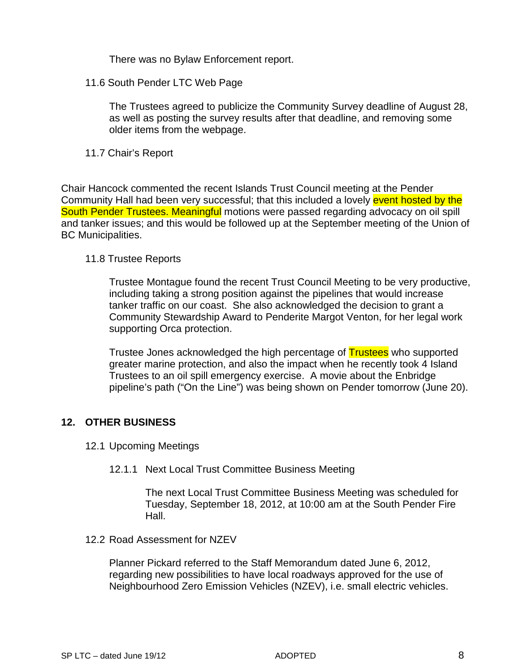There was no Bylaw Enforcement report.

11.6 South Pender LTC Web Page

The Trustees agreed to publicize the Community Survey deadline of August 28, as well as posting the survey results after that deadline, and removing some older items from the webpage.

# 11.7 Chair's Report

Chair Hancock commented the recent Islands Trust Council meeting at the Pender Community Hall had been very successful; that this included a lovely event hosted by the South Pender Trustees. Meaningful motions were passed regarding advocacy on oil spill and tanker issues; and this would be followed up at the September meeting of the Union of BC Municipalities.

# 11.8 Trustee Reports

Trustee Montague found the recent Trust Council Meeting to be very productive, including taking a strong position against the pipelines that would increase tanker traffic on our coast. She also acknowledged the decision to grant a Community Stewardship Award to Penderite Margot Venton, for her legal work supporting Orca protection.

Trustee Jones acknowledged the high percentage of **Trustees** who supported greater marine protection, and also the impact when he recently took 4 Island Trustees to an oil spill emergency exercise. A movie about the Enbridge pipeline's path ("On the Line") was being shown on Pender tomorrow (June 20).

# **12. OTHER BUSINESS**

- 12.1 Upcoming Meetings
	- 12.1.1 Next Local Trust Committee Business Meeting

The next Local Trust Committee Business Meeting was scheduled for Tuesday, September 18, 2012, at 10:00 am at the South Pender Fire Hall.

12.2 Road Assessment for NZEV

Planner Pickard referred to the Staff Memorandum dated June 6, 2012, regarding new possibilities to have local roadways approved for the use of Neighbourhood Zero Emission Vehicles (NZEV), i.e. small electric vehicles.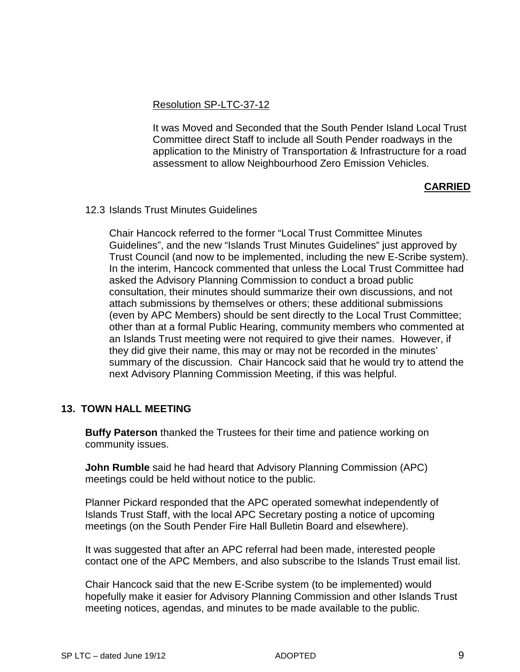# Resolution SP-LTC-37-12

It was Moved and Seconded that the South Pender Island Local Trust Committee direct Staff to include all South Pender roadways in the application to the Ministry of Transportation & Infrastructure for a road assessment to allow Neighbourhood Zero Emission Vehicles.

# **CARRIED**

#### 12.3 Islands Trust Minutes Guidelines

Chair Hancock referred to the former "Local Trust Committee Minutes Guidelines", and the new "Islands Trust Minutes Guidelines" just approved by Trust Council (and now to be implemented, including the new E-Scribe system). In the interim, Hancock commented that unless the Local Trust Committee had asked the Advisory Planning Commission to conduct a broad public consultation, their minutes should summarize their own discussions, and not attach submissions by themselves or others; these additional submissions (even by APC Members) should be sent directly to the Local Trust Committee; other than at a formal Public Hearing, community members who commented at an Islands Trust meeting were not required to give their names. However, if they did give their name, this may or may not be recorded in the minutes' summary of the discussion. Chair Hancock said that he would try to attend the next Advisory Planning Commission Meeting, if this was helpful.

# **13. TOWN HALL MEETING**

**Buffy Paterson** thanked the Trustees for their time and patience working on community issues.

**John Rumble** said he had heard that Advisory Planning Commission (APC) meetings could be held without notice to the public.

Planner Pickard responded that the APC operated somewhat independently of Islands Trust Staff, with the local APC Secretary posting a notice of upcoming meetings (on the South Pender Fire Hall Bulletin Board and elsewhere).

It was suggested that after an APC referral had been made, interested people contact one of the APC Members, and also subscribe to the Islands Trust email list.

Chair Hancock said that the new E-Scribe system (to be implemented) would hopefully make it easier for Advisory Planning Commission and other Islands Trust meeting notices, agendas, and minutes to be made available to the public.